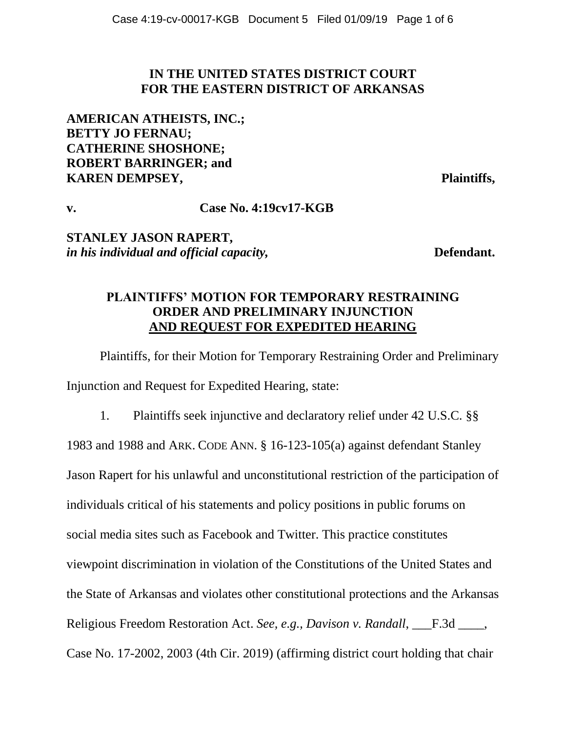### **IN THE UNITED STATES DISTRICT COURT FOR THE EASTERN DISTRICT OF ARKANSAS**

**AMERICAN ATHEISTS, INC.; BETTY JO FERNAU; CATHERINE SHOSHONE; ROBERT BARRINGER; and KAREN DEMPSEY, Plaintiffs,**

**v. Case No. 4:19cv17-KGB**

**STANLEY JASON RAPERT,**  *in his individual and official capacity*, **Example 20 Defendant.** 

## **PLAINTIFFS' MOTION FOR TEMPORARY RESTRAINING ORDER AND PRELIMINARY INJUNCTION AND REQUEST FOR EXPEDITED HEARING**

Plaintiffs, for their Motion for Temporary Restraining Order and Preliminary Injunction and Request for Expedited Hearing, state:

1. Plaintiffs seek injunctive and declaratory relief under 42 U.S.C. §§ 1983 and 1988 and ARK. CODE ANN. § 16-123-105(a) against defendant Stanley Jason Rapert for his unlawful and unconstitutional restriction of the participation of individuals critical of his statements and policy positions in public forums on social media sites such as Facebook and Twitter. This practice constitutes viewpoint discrimination in violation of the Constitutions of the United States and the State of Arkansas and violates other constitutional protections and the Arkansas Religious Freedom Restoration Act. *See, e.g., Davison v. Randall*, F.3d \_\_\_\_, Case No. 17-2002, 2003 (4th Cir. 2019) (affirming district court holding that chair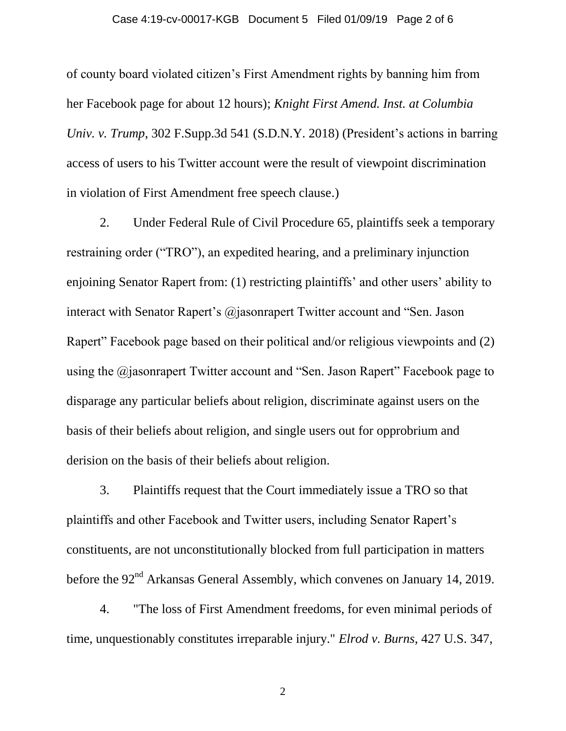#### Case 4:19-cv-00017-KGB Document 5 Filed 01/09/19 Page 2 of 6

of county board violated citizen's First Amendment rights by banning him from her Facebook page for about 12 hours); *Knight First Amend. Inst. at Columbia Univ. v. Trump*, 302 F.Supp.3d 541 (S.D.N.Y. 2018) (President's actions in barring access of users to his Twitter account were the result of viewpoint discrimination in violation of First Amendment free speech clause.)

2. Under Federal Rule of Civil Procedure 65, plaintiffs seek a temporary restraining order ("TRO"), an expedited hearing, and a preliminary injunction enjoining Senator Rapert from: (1) restricting plaintiffs' and other users' ability to interact with Senator Rapert's @jasonrapert Twitter account and "Sen. Jason" Rapert" Facebook page based on their political and/or religious viewpoints and (2) using the @jasonrapert Twitter account and "Sen. Jason Rapert" Facebook page to disparage any particular beliefs about religion, discriminate against users on the basis of their beliefs about religion, and single users out for opprobrium and derision on the basis of their beliefs about religion.

3. Plaintiffs request that the Court immediately issue a TRO so that plaintiffs and other Facebook and Twitter users, including Senator Rapert's constituents, are not unconstitutionally blocked from full participation in matters before the 92<sup>nd</sup> Arkansas General Assembly, which convenes on January 14, 2019.

4. "The loss of First Amendment freedoms, for even minimal periods of time, unquestionably constitutes irreparable injury." *Elrod v. Burns*, 427 U.S. 347,

2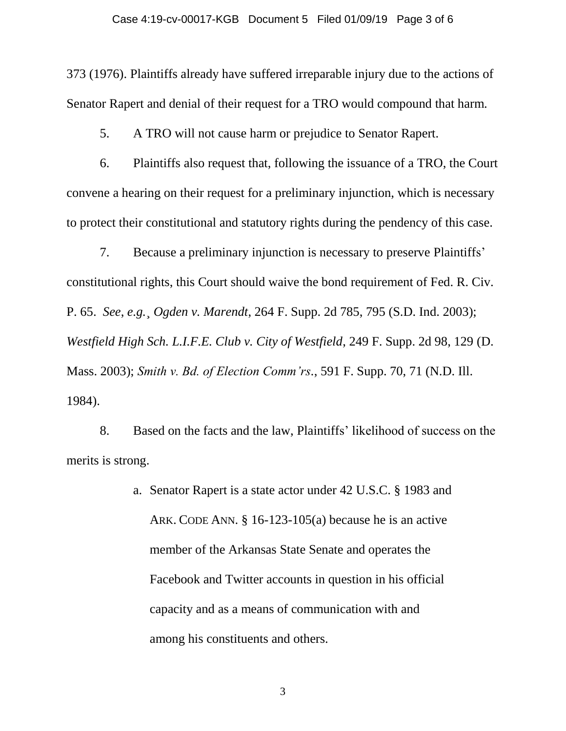#### Case 4:19-cv-00017-KGB Document 5 Filed 01/09/19 Page 3 of 6

373 (1976). Plaintiffs already have suffered irreparable injury due to the actions of Senator Rapert and denial of their request for a TRO would compound that harm.

5. A TRO will not cause harm or prejudice to Senator Rapert.

6. Plaintiffs also request that, following the issuance of a TRO, the Court convene a hearing on their request for a preliminary injunction, which is necessary to protect their constitutional and statutory rights during the pendency of this case.

7. Because a preliminary injunction is necessary to preserve Plaintiffs' constitutional rights, this Court should waive the bond requirement of Fed. R. Civ. P. 65. *See*, *e.g.*¸ *Ogden v. Marendt*, 264 F. Supp. 2d 785, 795 (S.D. Ind. 2003); *Westfield High Sch. L.I.F.E. Club v. City of Westfield*, 249 F. Supp. 2d 98, 129 (D. Mass. 2003); *Smith v. Bd. of Election Comm'rs.*, 591 F. Supp. 70, 71 (N.D. Ill. 1984).

8. Based on the facts and the law, Plaintiffs' likelihood of success on the merits is strong.

> a. Senator Rapert is a state actor under 42 U.S.C. § 1983 and ARK. CODE ANN. § 16-123-105(a) because he is an active member of the Arkansas State Senate and operates the Facebook and Twitter accounts in question in his official capacity and as a means of communication with and among his constituents and others.

> > 3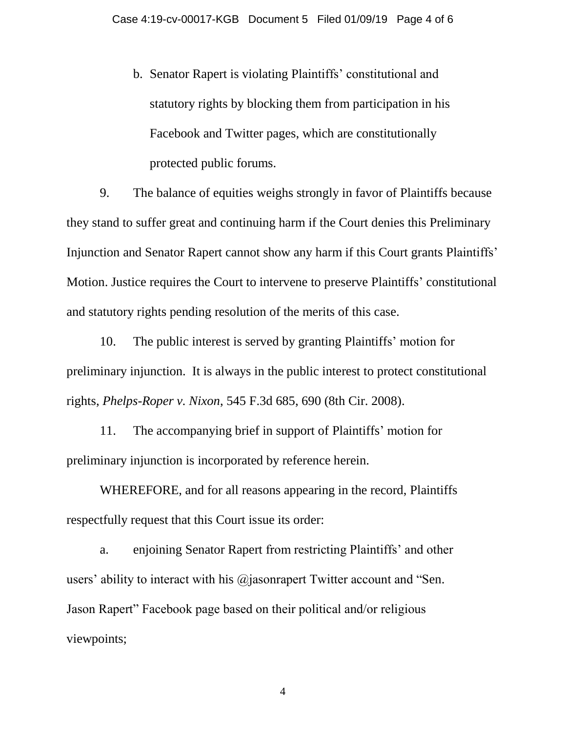b. Senator Rapert is violating Plaintiffs' constitutional and statutory rights by blocking them from participation in his Facebook and Twitter pages, which are constitutionally protected public forums.

9. The balance of equities weighs strongly in favor of Plaintiffs because they stand to suffer great and continuing harm if the Court denies this Preliminary Injunction and Senator Rapert cannot show any harm if this Court grants Plaintiffs' Motion. Justice requires the Court to intervene to preserve Plaintiffs' constitutional and statutory rights pending resolution of the merits of this case.

10. The public interest is served by granting Plaintiffs' motion for preliminary injunction. It is always in the public interest to protect constitutional rights, *Phelps-Roper v. Nixon*, 545 F.3d 685, 690 (8th Cir. 2008).

11. The accompanying brief in support of Plaintiffs' motion for preliminary injunction is incorporated by reference herein.

WHEREFORE, and for all reasons appearing in the record, Plaintiffs respectfully request that this Court issue its order:

a. enjoining Senator Rapert from restricting Plaintiffs' and other users' ability to interact with his @jasonrapert Twitter account and "Sen. Jason Rapert" Facebook page based on their political and/or religious viewpoints;

4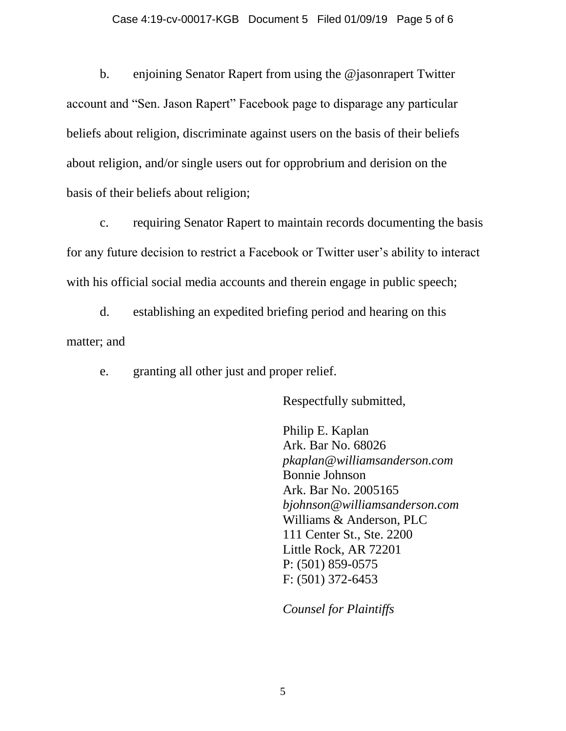b. enjoining Senator Rapert from using the @jasonrapert Twitter account and "Sen. Jason Rapert" Facebook page to disparage any particular beliefs about religion, discriminate against users on the basis of their beliefs about religion, and/or single users out for opprobrium and derision on the basis of their beliefs about religion;

c. requiring Senator Rapert to maintain records documenting the basis for any future decision to restrict a Facebook or Twitter user's ability to interact with his official social media accounts and therein engage in public speech;

d. establishing an expedited briefing period and hearing on this matter; and

e. granting all other just and proper relief.

Respectfully submitted,

Philip E. Kaplan Ark. Bar No. 68026 *pkaplan@williamsanderson.com* Bonnie Johnson Ark. Bar No. 2005165 *bjohnson@williamsanderson.com* Williams & Anderson, PLC 111 Center St., Ste. 2200 Little Rock, AR 72201 P: (501) 859-0575 F: (501) 372-6453

*Counsel for Plaintiffs*